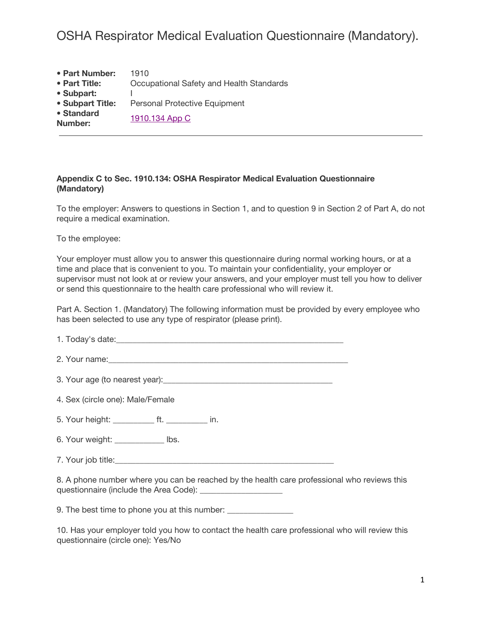| • Part Number:        | 1910                                     |
|-----------------------|------------------------------------------|
| • Part Title:         | Occupational Safety and Health Standards |
| • Subpart:            |                                          |
| • Subpart Title:      | <b>Personal Protective Equipment</b>     |
| • Standard<br>Number: | 1910.134 App C                           |

#### **Appendix C to Sec. 1910.134: OSHA Respirator Medical Evaluation Questionnaire (Mandatory)**

To the employer: Answers to questions in Section 1, and to question 9 in Section 2 of Part A, do not require a medical examination.

To the employee:

Your employer must allow you to answer this questionnaire during normal working hours, or at a time and place that is convenient to you. To maintain your confidentiality, your employer or supervisor must not look at or review your answers, and your employer must tell you how to deliver or send this questionnaire to the health care professional who will review it.

Part A. Section 1. (Mandatory) The following information must be provided by every employee who has been selected to use any type of respirator (please print).

1. Today's date:

2. Your name:  $\Box$ 

3. Your age (to nearest year):\_\_\_\_\_\_\_\_\_\_\_\_\_\_\_\_\_\_\_\_\_\_\_\_\_\_\_\_\_\_\_\_\_\_\_\_\_\_\_\_\_

4. Sex (circle one): Male/Female

5. Your height: \_\_\_\_\_\_\_\_\_\_ ft. \_\_\_\_\_\_\_\_\_\_ in.

6. Your weight: \_\_\_\_\_\_\_\_\_\_\_\_ lbs.

7. Your job title:

8. A phone number where you can be reached by the health care professional who reviews this questionnaire (include the Area Code): \_\_\_\_\_\_

9. The best time to phone you at this number: \_\_\_\_\_\_\_\_\_\_\_\_\_\_\_\_\_\_\_\_\_\_\_\_\_\_\_\_\_\_\_\_\_\_

10. Has your employer told you how to contact the health care professional who will review this questionnaire (circle one): Yes/No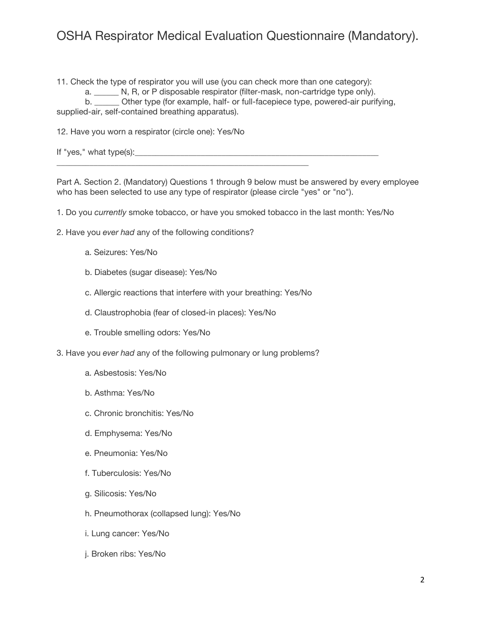11. Check the type of respirator you will use (you can check more than one category):

a. N, R, or P disposable respirator (filter-mask, non-cartridge type only).

b. \_\_\_\_\_\_ Other type (for example, half- or full-facepiece type, powered-air purifying, supplied-air, self-contained breathing apparatus).

12. Have you worn a respirator (circle one): Yes/No

| If "yes," what type(s): |
|-------------------------|
|-------------------------|

Part A. Section 2. (Mandatory) Questions 1 through 9 below must be answered by every employee who has been selected to use any type of respirator (please circle "yes" or "no").

1. Do you *currently* smoke tobacco, or have you smoked tobacco in the last month: Yes/No

- 2. Have you *ever had* any of the following conditions?
	- a. Seizures: Yes/No
	- b. Diabetes (sugar disease): Yes/No
	- c. Allergic reactions that interfere with your breathing: Yes/No
	- d. Claustrophobia (fear of closed-in places): Yes/No

\_\_\_\_\_\_\_\_\_\_\_\_\_\_\_\_\_\_\_\_\_\_\_\_\_\_\_\_\_\_\_\_\_\_\_\_\_\_\_\_\_\_\_\_\_\_\_\_\_\_\_\_\_\_\_\_\_\_\_\_\_

- e. Trouble smelling odors: Yes/No
- 3. Have you *ever had* any of the following pulmonary or lung problems?
	- a. Asbestosis: Yes/No
	- b. Asthma: Yes/No
	- c. Chronic bronchitis: Yes/No
	- d. Emphysema: Yes/No
	- e. Pneumonia: Yes/No
	- f. Tuberculosis: Yes/No
	- g. Silicosis: Yes/No
	- h. Pneumothorax (collapsed lung): Yes/No
	- i. Lung cancer: Yes/No
	- j. Broken ribs: Yes/No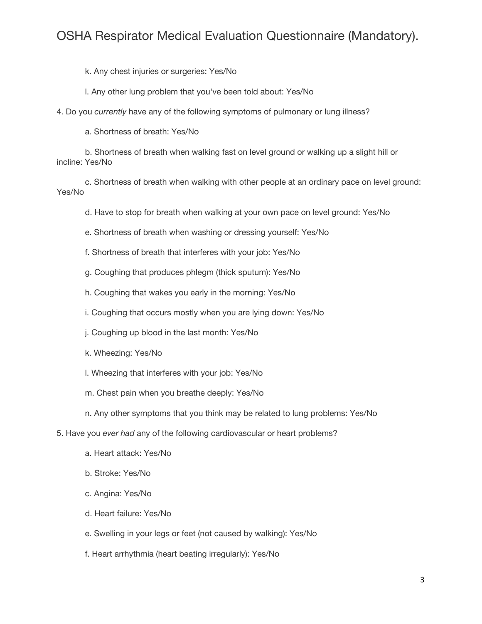k. Any chest injuries or surgeries: Yes/No

l. Any other lung problem that you've been told about: Yes/No

4. Do you *currently* have any of the following symptoms of pulmonary or lung illness?

a. Shortness of breath: Yes/No

b. Shortness of breath when walking fast on level ground or walking up a slight hill or incline: Yes/No

c. Shortness of breath when walking with other people at an ordinary pace on level ground: Yes/No

d. Have to stop for breath when walking at your own pace on level ground: Yes/No

e. Shortness of breath when washing or dressing yourself: Yes/No

f. Shortness of breath that interferes with your job: Yes/No

g. Coughing that produces phlegm (thick sputum): Yes/No

h. Coughing that wakes you early in the morning: Yes/No

i. Coughing that occurs mostly when you are lying down: Yes/No

j. Coughing up blood in the last month: Yes/No

k. Wheezing: Yes/No

- l. Wheezing that interferes with your job: Yes/No
- m. Chest pain when you breathe deeply: Yes/No

n. Any other symptoms that you think may be related to lung problems: Yes/No

5. Have you *ever had* any of the following cardiovascular or heart problems?

- a. Heart attack: Yes/No
- b. Stroke: Yes/No
- c. Angina: Yes/No
- d. Heart failure: Yes/No

e. Swelling in your legs or feet (not caused by walking): Yes/No

f. Heart arrhythmia (heart beating irregularly): Yes/No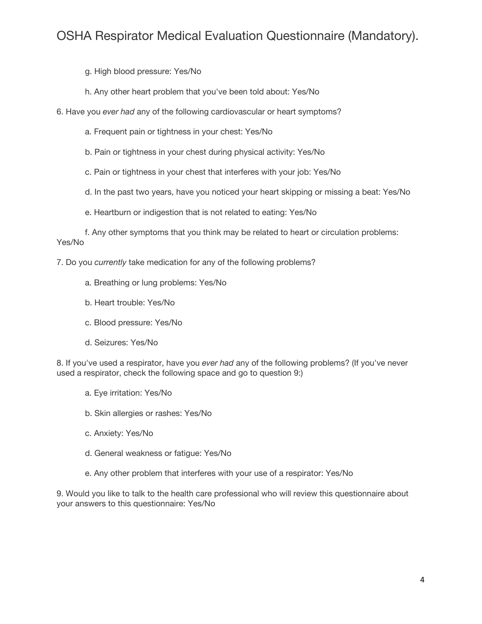g. High blood pressure: Yes/No

- h. Any other heart problem that you've been told about: Yes/No
- 6. Have you *ever had* any of the following cardiovascular or heart symptoms?
	- a. Frequent pain or tightness in your chest: Yes/No
	- b. Pain or tightness in your chest during physical activity: Yes/No
	- c. Pain or tightness in your chest that interferes with your job: Yes/No
	- d. In the past two years, have you noticed your heart skipping or missing a beat: Yes/No
	- e. Heartburn or indigestion that is not related to eating: Yes/No

f. Any other symptoms that you think may be related to heart or circulation problems: Yes/No

7. Do you *currently* take medication for any of the following problems?

- a. Breathing or lung problems: Yes/No
- b. Heart trouble: Yes/No
- c. Blood pressure: Yes/No
- d. Seizures: Yes/No

8. If you've used a respirator, have you *ever had* any of the following problems? (If you've never used a respirator, check the following space and go to question 9:)

- a. Eye irritation: Yes/No
- b. Skin allergies or rashes: Yes/No
- c. Anxiety: Yes/No
- d. General weakness or fatigue: Yes/No
- e. Any other problem that interferes with your use of a respirator: Yes/No

9. Would you like to talk to the health care professional who will review this questionnaire about your answers to this questionnaire: Yes/No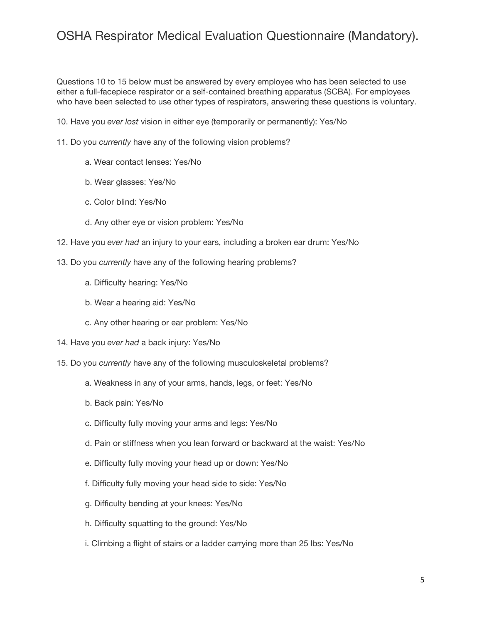Questions 10 to 15 below must be answered by every employee who has been selected to use either a full-facepiece respirator or a self-contained breathing apparatus (SCBA). For employees who have been selected to use other types of respirators, answering these questions is voluntary.

10. Have you *ever lost* vision in either eye (temporarily or permanently): Yes/No

- 11. Do you *currently* have any of the following vision problems?
	- a. Wear contact lenses: Yes/No
	- b. Wear glasses: Yes/No
	- c. Color blind: Yes/No
	- d. Any other eye or vision problem: Yes/No
- 12. Have you *ever had* an injury to your ears, including a broken ear drum: Yes/No
- 13. Do you *currently* have any of the following hearing problems?
	- a. Difficulty hearing: Yes/No
	- b. Wear a hearing aid: Yes/No
	- c. Any other hearing or ear problem: Yes/No
- 14. Have you *ever had* a back injury: Yes/No
- 15. Do you *currently* have any of the following musculoskeletal problems?
	- a. Weakness in any of your arms, hands, legs, or feet: Yes/No
	- b. Back pain: Yes/No
	- c. Difficulty fully moving your arms and legs: Yes/No
	- d. Pain or stiffness when you lean forward or backward at the waist: Yes/No
	- e. Difficulty fully moving your head up or down: Yes/No
	- f. Difficulty fully moving your head side to side: Yes/No
	- g. Difficulty bending at your knees: Yes/No
	- h. Difficulty squatting to the ground: Yes/No
	- i. Climbing a flight of stairs or a ladder carrying more than 25 lbs: Yes/No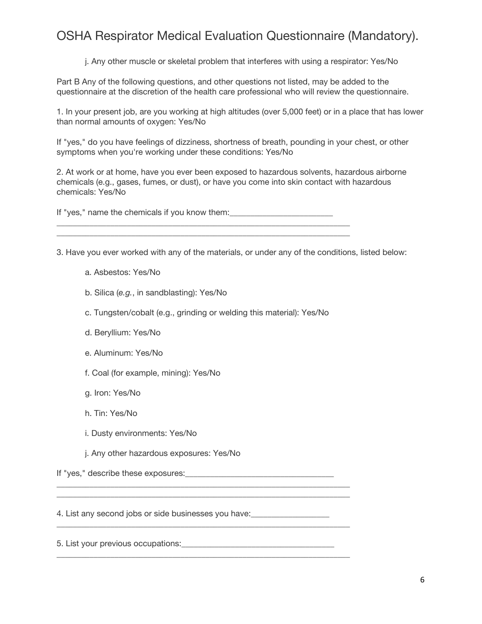j. Any other muscle or skeletal problem that interferes with using a respirator: Yes/No

Part B Any of the following questions, and other questions not listed, may be added to the questionnaire at the discretion of the health care professional who will review the questionnaire.

1. In your present job, are you working at high altitudes (over 5,000 feet) or in a place that has lower than normal amounts of oxygen: Yes/No

If "yes," do you have feelings of dizziness, shortness of breath, pounding in your chest, or other symptoms when you're working under these conditions: Yes/No

2. At work or at home, have you ever been exposed to hazardous solvents, hazardous airborne chemicals (e.g., gases, fumes, or dust), or have you come into skin contact with hazardous chemicals: Yes/No

If "yes," name the chemicals if you know them: \_\_\_\_\_\_\_\_\_\_\_\_\_\_\_\_\_\_\_\_\_\_\_\_\_\_\_\_\_\_\_\_\_

3. Have you ever worked with any of the materials, or under any of the conditions, listed below:

\_\_\_\_\_\_\_\_\_\_\_\_\_\_\_\_\_\_\_\_\_\_\_\_\_\_\_\_\_\_\_\_\_\_\_\_\_\_\_\_\_\_\_\_\_\_\_\_\_\_\_\_\_\_\_\_\_\_\_\_\_\_\_\_\_\_\_\_\_\_\_

a. Asbestos: Yes/No

b. Silica (*e.g.*, in sandblasting): Yes/No

c. Tungsten/cobalt (e.g., grinding or welding this material): Yes/No

\_\_\_\_\_\_\_\_\_\_\_\_\_\_\_\_\_\_\_\_\_\_\_\_\_\_\_\_\_\_\_\_\_\_\_\_\_\_\_\_\_\_\_\_\_\_\_\_\_\_\_\_\_\_\_\_\_\_\_\_\_\_\_\_\_\_\_\_\_\_\_ \_\_\_\_\_\_\_\_\_\_\_\_\_\_\_\_\_\_\_\_\_\_\_\_\_\_\_\_\_\_\_\_\_\_\_\_\_\_\_\_\_\_\_\_\_\_\_\_\_\_\_\_\_\_\_\_\_\_\_\_\_\_\_\_\_\_\_\_\_\_\_

\_\_\_\_\_\_\_\_\_\_\_\_\_\_\_\_\_\_\_\_\_\_\_\_\_\_\_\_\_\_\_\_\_\_\_\_\_\_\_\_\_\_\_\_\_\_\_\_\_\_\_\_\_\_\_\_\_\_\_\_\_\_\_\_\_\_\_\_\_\_\_

\_\_\_\_\_\_\_\_\_\_\_\_\_\_\_\_\_\_\_\_\_\_\_\_\_\_\_\_\_\_\_\_\_\_\_\_\_\_\_\_\_\_\_\_\_\_\_\_\_\_\_\_\_\_\_\_\_\_\_\_\_\_\_\_\_\_\_\_\_\_\_

- d. Beryllium: Yes/No
- e. Aluminum: Yes/No
- f. Coal (for example, mining): Yes/No
- g. Iron: Yes/No
- h. Tin: Yes/No
- i. Dusty environments: Yes/No
- j. Any other hazardous exposures: Yes/No

If "yes," describe these exposures:

4. List any second jobs or side businesses you have:

5. List your previous occupations: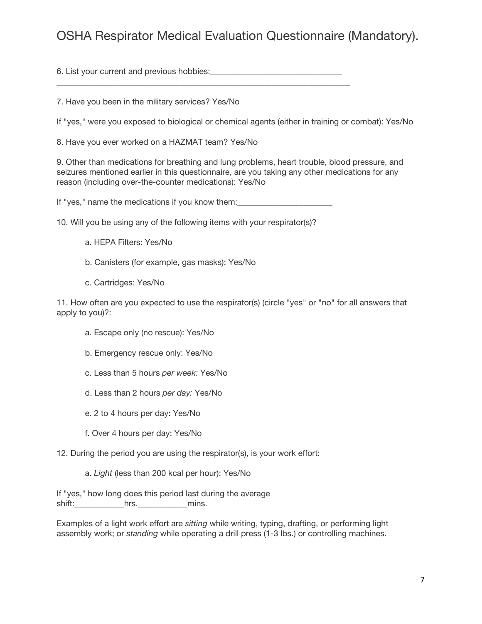6. List your current and previous hobbies: \_\_\_\_\_\_\_\_\_\_\_\_\_\_\_\_\_\_\_\_\_\_\_\_\_\_\_\_\_\_\_\_\_\_\_\_\_\_\_\_\_\_\_\_\_\_\_\_\_\_\_\_\_\_\_\_\_\_\_\_\_\_\_\_\_\_\_\_\_\_\_

7. Have you been in the military services? Yes/No

If "yes," were you exposed to biological or chemical agents (either in training or combat): Yes/No

8. Have you ever worked on a HAZMAT team? Yes/No

9. Other than medications for breathing and lung problems, heart trouble, blood pressure, and seizures mentioned earlier in this questionnaire, are you taking any other medications for any reason (including over-the-counter medications): Yes/No

If "yes," name the medications if you know them: \_\_\_\_\_\_\_\_\_\_\_\_\_\_\_\_\_\_\_\_\_\_\_\_\_\_\_\_\_\_\_

10. Will you be using any of the following items with your respirator(s)?

- a. HEPA Filters: Yes/No
- b. Canisters (for example, gas masks): Yes/No
- c. Cartridges: Yes/No

11. How often are you expected to use the respirator(s) (circle "yes" or "no" for all answers that apply to you)?:

- a. Escape only (no rescue): Yes/No
- b. Emergency rescue only: Yes/No
- c. Less than 5 hours *per week:* Yes/No
- d. Less than 2 hours *per day:* Yes/No
- e. 2 to 4 hours per day: Yes/No
- f. Over 4 hours per day: Yes/No

12. During the period you are using the respirator(s), is your work effort:

a. *Light* (less than 200 kcal per hour): Yes/No

If "yes," how long does this period last during the average shift: ending the hrs. The mins.

Examples of a light work effort are *sitting* while writing, typing, drafting, or performing light assembly work; or *standing* while operating a drill press (1-3 lbs.) or controlling machines.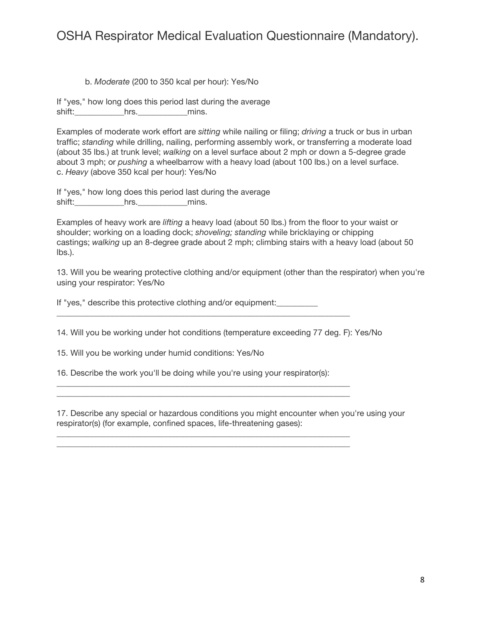#### b. *Moderate* (200 to 350 kcal per hour): Yes/No

If "yes," how long does this period last during the average shift:\_\_\_\_\_\_\_\_\_\_\_\_hrs.\_\_\_\_\_\_\_\_\_\_\_\_mins.

Examples of moderate work effort are *sitting* while nailing or filing; *driving* a truck or bus in urban traffic; *standing* while drilling, nailing, performing assembly work, or transferring a moderate load (about 35 lbs.) at trunk level; *walking* on a level surface about 2 mph or down a 5-degree grade about 3 mph; or *pushing* a wheelbarrow with a heavy load (about 100 lbs.) on a level surface. c. *Heavy* (above 350 kcal per hour): Yes/No

If "yes," how long does this period last during the average shift:\_\_\_\_\_\_\_\_\_\_\_\_hrs.\_\_\_\_\_\_\_\_\_\_\_\_mins.

Examples of heavy work are *lifting* a heavy load (about 50 lbs.) from the floor to your waist or shoulder; working on a loading dock; *shoveling; standing* while bricklaying or chipping castings; *walking* up an 8-degree grade about 2 mph; climbing stairs with a heavy load (about 50 lbs.).

13. Will you be wearing protective clothing and/or equipment (other than the respirator) when you're using your respirator: Yes/No

If "yes," describe this protective clothing and/or equipment:\_\_\_\_\_\_\_\_\_\_

14. Will you be working under hot conditions (temperature exceeding 77 deg. F): Yes/No

\_\_\_\_\_\_\_\_\_\_\_\_\_\_\_\_\_\_\_\_\_\_\_\_\_\_\_\_\_\_\_\_\_\_\_\_\_\_\_\_\_\_\_\_\_\_\_\_\_\_\_\_\_\_\_\_\_\_\_\_\_\_\_\_\_\_\_\_\_\_\_

15. Will you be working under humid conditions: Yes/No

16. Describe the work you'll be doing while you're using your respirator(s):

\_\_\_\_\_\_\_\_\_\_\_\_\_\_\_\_\_\_\_\_\_\_\_\_\_\_\_\_\_\_\_\_\_\_\_\_\_\_\_\_\_\_\_\_\_\_\_\_\_\_\_\_\_\_\_\_\_\_\_\_\_\_\_\_\_\_\_\_\_\_\_

\_\_\_\_\_\_\_\_\_\_\_\_\_\_\_\_\_\_\_\_\_\_\_\_\_\_\_\_\_\_\_\_\_\_\_\_\_\_\_\_\_\_\_\_\_\_\_\_\_\_\_\_\_\_\_\_\_\_\_\_\_\_\_\_\_\_\_\_\_\_\_ \_\_\_\_\_\_\_\_\_\_\_\_\_\_\_\_\_\_\_\_\_\_\_\_\_\_\_\_\_\_\_\_\_\_\_\_\_\_\_\_\_\_\_\_\_\_\_\_\_\_\_\_\_\_\_\_\_\_\_\_\_\_\_\_\_\_\_\_\_\_\_

17. Describe any special or hazardous conditions you might encounter when you're using your respirator(s) (for example, confined spaces, life-threatening gases):